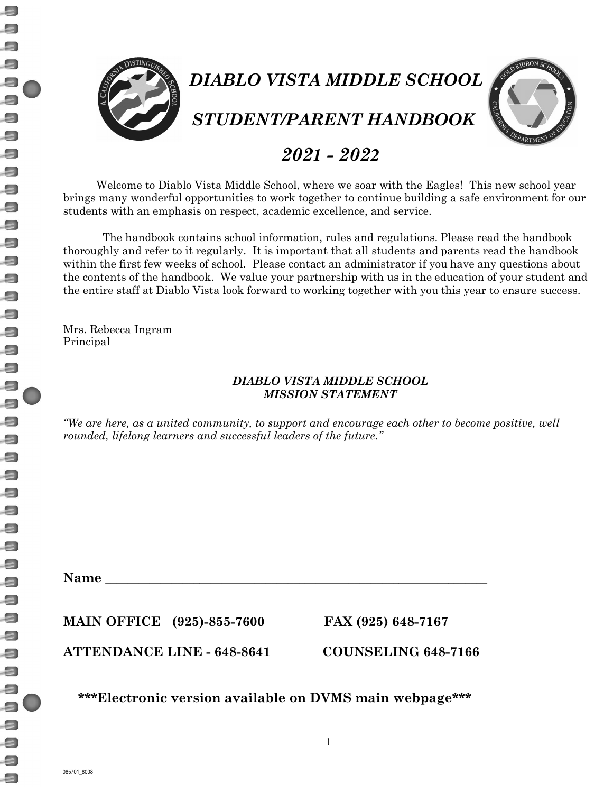$\Box$ 

 $\Box$  $\Box$ 



# *2021 - 2022*

Welcome to Diablo Vista Middle School, where we soar with the Eagles! This new school year brings many wonderful opportunities to work together to continue building a safe environment for our students with an emphasis on respect, academic excellence, and service.

The handbook contains school information, rules and regulations. Please read the handbook thoroughly and refer to it regularly. It is important that all students and parents read the handbook within the first few weeks of school. Please contact an administrator if you have any questions about the contents of the handbook. We value your partnership with us in the education of your student and the entire staff at Diablo Vista look forward to working together with you this year to ensure success.

Mrs. Rebecca Ingram Principal

## *DIABLO VISTA MIDDLE SCHOOL MISSION STATEMENT*

*"We are here, as a united community, to support and encourage each other to become positive, well rounded, lifelong learners and successful leaders of the future."*

**Name \_\_\_\_\_\_\_\_\_\_\_\_\_\_\_\_\_\_\_\_\_\_\_\_\_\_\_\_\_\_\_\_\_\_\_\_\_\_\_\_\_\_\_\_\_\_\_\_\_\_\_\_\_\_\_\_\_\_\_\_\_\_\_\_\_\_\_\_\_**

**MAIN OFFICE (925)-855-7600 FAX (925) 648-7167**

**ATTENDANCE LINE - 648-8641 COUNSELING 648-7166**

**\*\*\*Electronic version available on DVMS main webpage\*\*\***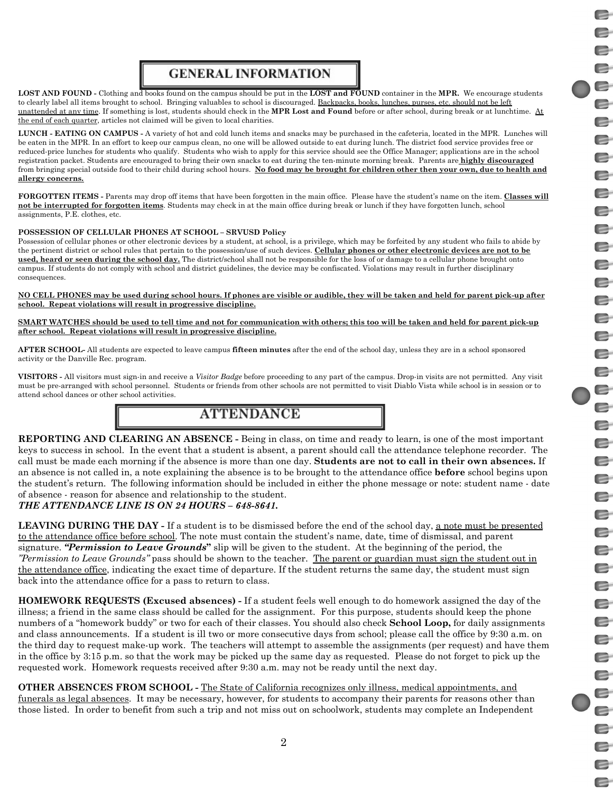# e E E E E E E E E E E E E E E E E E E E E E E E E E E  $\blacksquare$ E E E E E E e E E E E E

E

# **GENERAL INFORMATION**

**LOST AND FOUND -** Clothing and books found on the campus should be put in the **LOST and FOUND** container in the **MPR.** We encourage students to clearly label all items brought to school. Bringing valuables to school is discouraged. Backpacks, books, lunches, purses, etc. should not be left unattended at any time. If something is lost, students should check in the **MPR Lost and Found** before or after school, during break or at lunchtime. At the end of each quarter, articles not claimed will be given to local charities.

**LUNCH - EATING ON CAMPUS -** A variety of hot and cold lunch items and snacks may be purchased in the cafeteria, located in the MPR. Lunches will be eaten in the MPR. In an effort to keep our campus clean, no one will be allowed outside to eat during lunch. The district food service provides free or reduced-price lunches for students who qualify. Students who wish to apply for this service should see the Office Manager; applications are in the school registration packet. Students are encouraged to bring their own snacks to eat during the ten-minute morning break. Parents are **highly discouraged** from bringing special outside food to their child during school hours. **No food may be brought for children other then your own, due to health and allergy concerns.**

**FORGOTTEN ITEMS -** Parents may drop off items that have been forgotten in the main office. Please have the student's name on the item. **Classes will not be interrupted for forgotten items**. Students may check in at the main office during break or lunch if they have forgotten lunch, school assignments, P.E. clothes, etc.

### **POSSESSION OF CELLULAR PHONES AT SCHOOL – SRVUSD Policy**

Possession of cellular phones or other electronic devices by a student, at school, is a privilege, which may be forfeited by any student who fails to abide by the pertinent district or school rules that pertain to the possession/use of such devices. **Cellular phones or other electronic devices are not to be used, heard or seen during the school day.** The district/school shall not be responsible for the loss of or damage to a cellular phone brought onto campus. If students do not comply with school and district guidelines, the device may be confiscated. Violations may result in further disciplinary consequences.

**NO CELL PHONES may be used during school hours. If phones are visible or audible, they will be taken and held for parent pick-up after school. Repeat violations will result in progressive discipline.**

**SMART WATCHES should be used to tell time and not for communication with others; this too will be taken and held for parent pick-up after school. Repeat violations will result in progressive discipline.**

**AFTER SCHOOL-** All students are expected to leave campus **fifteen minutes** after the end of the school day, unless they are in a school sponsored activity or the Danville Rec. program.

**VISITORS -** All visitors must sign-in and receive a *Visitor Badge* before proceeding to any part of the campus. Drop-in visits are not permitted. Any visit must be pre-arranged with school personnel. Students or friends from other schools are not permitted to visit Diablo Vista while school is in session or to attend school dances or other school activities.

## **ATTENDANCE**

**REPORTING AND CLEARING AN ABSENCE -** Being in class, on time and ready to learn, is one of the most important keys to success in school. In the event that a student is absent, a parent should call the attendance telephone recorder. The call must be made each morning if the absence is more than one day. **Students are not to call in their own absences.** If an absence is not called in, a note explaining the absence is to be brought to the attendance office **before** school begins upon the student's return. The following information should be included in either the phone message or note: student name - date of absence - reason for absence and relationship to the student. *THE ATTENDANCE LINE IS ON 24 HOURS – 648-8641.*

**LEAVING DURING THE DAY -** If a student is to be dismissed before the end of the school day, a note must be presented to the attendance office before school. The note must contain the student's name, date, time of dismissal, and parent signature. *"Permission to Leave Grounds***"** slip will be given to the student. At the beginning of the period, the *"Permission to Leave Grounds"* pass should be shown to the teacher. The parent or guardian must sign the student out in the attendance office, indicating the exact time of departure. If the student returns the same day, the student must sign back into the attendance office for a pass to return to class.

**HOMEWORK REQUESTS (Excused absences) -** If a student feels well enough to do homework assigned the day of the illness; a friend in the same class should be called for the assignment. For this purpose, students should keep the phone numbers of a "homework buddy" or two for each of their classes. You should also check **School Loop,** for daily assignments and class announcements. If a student is ill two or more consecutive days from school; please call the office by 9:30 a.m. on the third day to request make-up work. The teachers will attempt to assemble the assignments (per request) and have them in the office by 3:15 p.m. so that the work may be picked up the same day as requested. Please do not forget to pick up the requested work. Homework requests received after 9:30 a.m. may not be ready until the next day.

**OTHER ABSENCES FROM SCHOOL -** The State of California recognizes only illness, medical appointments, and funerals as legal absences. It may be necessary, however, for students to accompany their parents for reasons other than those listed. In order to benefit from such a trip and not miss out on schoolwork, students may complete an Independent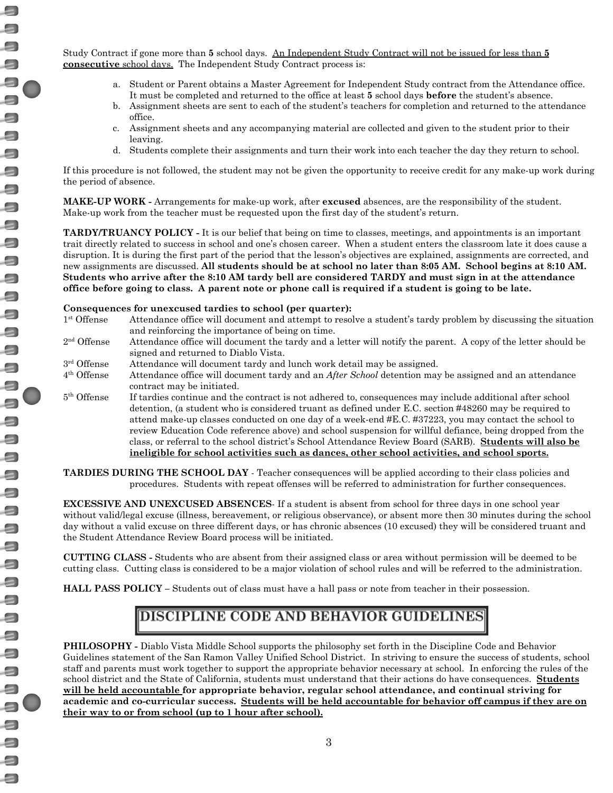Study Contract if gone more than **5** school days. An Independent Study Contract will not be issued for less than **5 consecutive** school days. The Independent Study Contract process is:

- a. Student or Parent obtains a Master Agreement for Independent Study contract from the Attendance office. It must be completed and returned to the office at least **5** school days **before** the student's absence.
- b. Assignment sheets are sent to each of the student's teachers for completion and returned to the attendance office.
- c. Assignment sheets and any accompanying material are collected and given to the student prior to their leaving.
- d. Students complete their assignments and turn their work into each teacher the day they return to school.

If this procedure is not followed, the student may not be given the opportunity to receive credit for any make-up work during the period of absence.

**MAKE-UP WORK -** Arrangements for make-up work, after **excused** absences, are the responsibility of the student. Make-up work from the teacher must be requested upon the first day of the student's return.

**TARDY/TRUANCY POLICY -** It is our belief that being on time to classes, meetings, and appointments is an important trait directly related to success in school and one's chosen career. When a student enters the classroom late it does cause a disruption. It is during the first part of the period that the lesson's objectives are explained, assignments are corrected, and new assignments are discussed. **All students should be at school no later than 8:05 AM. School begins at 8:10 AM.** Students who arrive after the 8:10 AM tardy bell are considered TARDY and must sign in at the attendance office before going to class. A parent note or phone call is required if a student is going to be late.

### **Consequences for unexcused tardies to school (per quarter):**

- <sup>1st</sup> Offense Attendance office will document and attempt to resolve a student's tardy problem by discussing the situation and reinforcing the importance of being on time.
- $2<sup>nd</sup>$  Offense Attendance office will document the tardy and a letter will notify the parent. A copy of the letter should be signed and returned to Diablo Vista.
- 3<sup>rd</sup> Offense Attendance will document tardy and lunch work detail may be assigned.
- 4th Offense Attendance office will document tardy and an *After School* detention may be assigned and an attendance contract may be initiated.
- $5<sup>th</sup>$  Offense If tardies continue and the contract is not adhered to, consequences may include additional after school detention, (a student who is considered truant as defined under E.C. section #48260 may be required to attend make-up classes conducted on one day of a week-end #E.C. #37223, you may contact the school to review Education Code reference above) and school suspension for willful defiance, being dropped from the class, or referral to the school district's School Attendance Review Board (SARB). **Students will also be ineligible for school activities such as dances, other school activities, and school sports.**

**TARDIES DURING THE SCHOOL DAY** - Teacher consequences will be applied according to their class policies and procedures. Students with repeat offenses will be referred to administration for further consequences.

**EXCESSIVE AND UNEXCUSED ABSENCES**- If a student is absent from school for three days in one school year without valid/legal excuse (illness, bereavement, or religious observance), or absent more then 30 minutes during the school day without a valid excuse on three different days, or has chronic absences (10 excused) they will be considered truant and the Student Attendance Review Board process will be initiated.

**CUTTING CLASS -** Students who are absent from their assigned class or area without permission will be deemed to be cutting class. Cutting class is considered to be a major violation of school rules and will be referred to the administration.

**HALL PASS POLICY –** Students out of class must have a hall pass or note from teacher in their possession.

# **DISCIPLINE CODE AND BEHAVIOR GUIDELINES**

**PHILOSOPHY -** Diablo Vista Middle School supports the philosophy set forth in the Discipline Code and Behavior Guidelines statement of the San Ramon Valley Unified School District. In striving to ensure the success of students, school staff and parents must work together to support the appropriate behavior necessary at school. In enforcing the rules of the school district and the State of California, students must understand that their actions do have consequences. **Students will be held accountable for appropriate behavior, regular school attendance, and continual striving for** academic and co-curricular success. Students will be held accountable for behavior off campus if they are on **their way to or from school (up to 1 hour after school).**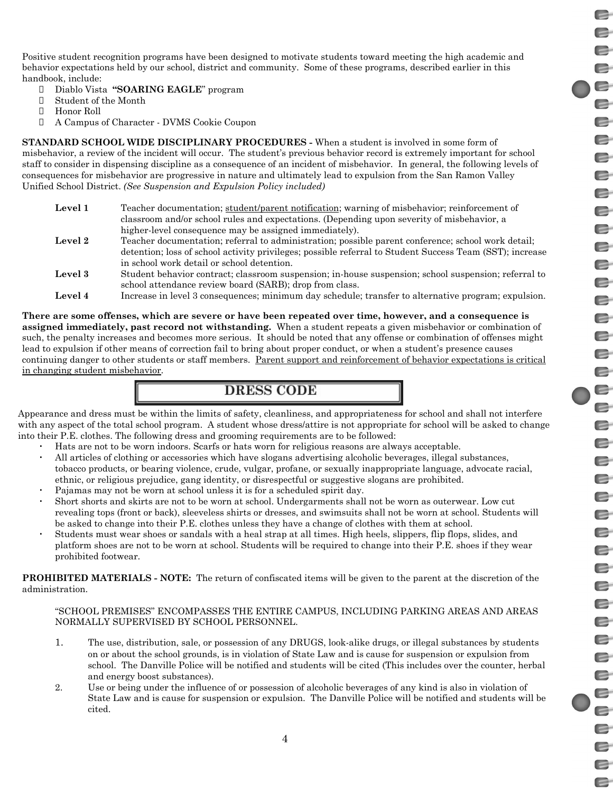Positive student recognition programs have been designed to motivate students toward meeting the high academic and behavior expectations held by our school, district and community. Some of these programs, described earlier in this handbook, include:

- Diablo Vista **"SOARING EAGLE**" program
- Student of the Month
- Honor Roll
- A Campus of Character DVMS Cookie Coupon

**STANDARD SCHOOL WIDE DISCIPLINARY PROCEDURES -** When a student is involved in some form of misbehavior, a review of the incident will occur. The student's previous behavior record is extremely important for school staff to consider in dispensing discipline as a consequence of an incident of misbehavior. In general, the following levels of consequences for misbehavior are progressive in nature and ultimately lead to expulsion from the San Ramon Valley Unified School District. *(See Suspension and Expulsion Policy included)*

| Level 1 | Teacher documentation; student/parent notification; warning of misbehavior; reinforcement of             |
|---------|----------------------------------------------------------------------------------------------------------|
|         | classroom and/or school rules and expectations. (Depending upon severity of misbehavior, a               |
|         | higher-level consequence may be assigned immediately).                                                   |
| Level 2 | Teacher documentation; referral to administration; possible parent conference; school work detail;       |
|         | detention; loss of school activity privileges; possible referral to Student Success Team (SST); increase |
|         | in school work detail or school detention.                                                               |
| Level 3 | Student behavior contract; classroom suspension; in-house suspension; school suspension; referral to     |
|         | school attendance review board (SARB); drop from class.                                                  |
| Level 4 | Increase in level 3 consequences; minimum day schedule; transfer to alternative program; expulsion.      |

There are some offenses, which are severe or have been repeated over time, however, and a consequence is **assigned immediately, past record not withstanding.** When a student repeats a given misbehavior or combination of such, the penalty increases and becomes more serious. It should be noted that any offense or combination of offenses might lead to expulsion if other means of correction fail to bring about proper conduct, or when a student's presence causes continuing danger to other students or staff members. Parent support and reinforcement of behavior expectations is critical in changing student misbehavior.

## **DRESS CODE**

Appearance and dress must be within the limits of safety, cleanliness, and appropriateness for school and shall not interfere with any aspect of the total school program. A student whose dress/attire is not appropriate for school will be asked to change into their P.E. clothes. The following dress and grooming requirements are to be followed:

- Hats are not to be worn indoors. Scarfs or hats worn for religious reasons are always acceptable.
- All articles of clothing or accessories which have slogans advertising alcoholic beverages, illegal substances, tobacco products, or bearing violence, crude, vulgar, profane, or sexually inappropriate language, advocate racial, ethnic, or religious prejudice, gang identity, or disrespectful or suggestive slogans are prohibited.
- Pajamas may not be worn at school unless it is for a scheduled spirit day.
- Short shorts and skirts are not to be worn at school. Undergarments shall not be worn as outerwear. Low cut revealing tops (front or back), sleeveless shirts or dresses, and swimsuits shall not be worn at school. Students will be asked to change into their P.E. clothes unless they have a change of clothes with them at school.
- Students must wear shoes or sandals with a heal strap at all times. High heels, slippers, flip flops, slides, and platform shoes are not to be worn at school. Students will be required to change into their P.E. shoes if they wear prohibited footwear.

**PROHIBITED MATERIALS - NOTE:** The return of confiscated items will be given to the parent at the discretion of the administration.

### "SCHOOL PREMISES" ENCOMPASSES THE ENTIRE CAMPUS, INCLUDING PARKING AREAS AND AREAS NORMALLY SUPERVISED BY SCHOOL PERSONNEL.

- 1. The use, distribution, sale, or possession of any DRUGS, look-alike drugs, or illegal substances by students on or about the school grounds, is in violation of State Law and is cause for suspension or expulsion from school. The Danville Police will be notified and students will be cited (This includes over the counter, herbal and energy boost substances).
- 2. Use or being under the influence of or possession of alcoholic beverages of any kind is also in violation of State Law and is cause for suspension or expulsion. The Danville Police will be notified and students will be cited.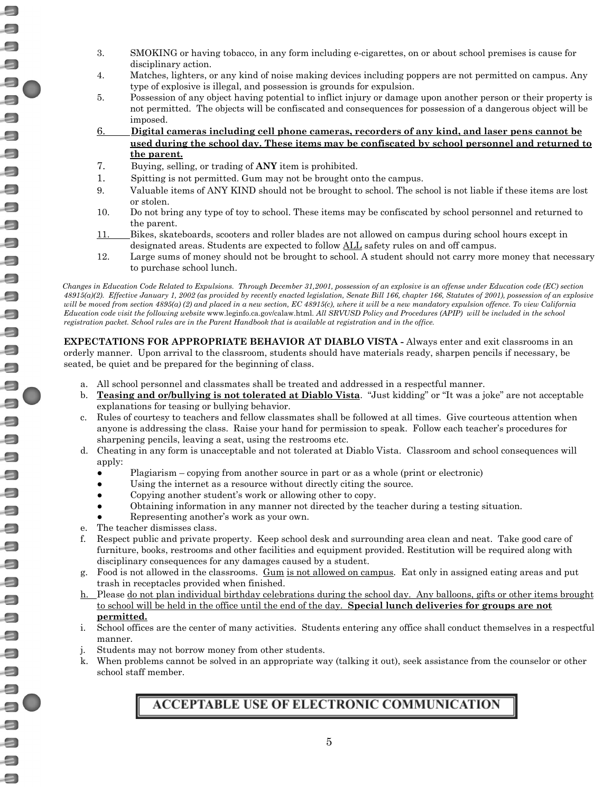- 3. SMOKING or having tobacco, in any form including e-cigarettes, on or about school premises is cause for disciplinary action.
- 4. Matches, lighters, or any kind of noise making devices including poppers are not permitted on campus. Any type of explosive is illegal, and possession is grounds for expulsion.
- 5. Possession of any object having potential to inflict injury or damage upon another person or their property is not permitted. The objects will be confiscated and consequences for possession of a dangerous object will be imposed.
- 6. **Digital cameras including cell phone cameras, recorders of any kind, and laser pens cannot be used during the school day. These items may be confiscated by school personnel and returned to the parent.**
- 7. Buying, selling, or trading of **ANY** item is prohibited.
- 1. Spitting is not permitted. Gum may not be brought onto the campus.
- 9. Valuable items of ANY KIND should not be brought to school. The school is not liable if these items are lost or stolen.
- 10. Do not bring any type of toy to school. These items may be confiscated by school personnel and returned to the parent.
- 11. Bikes, skateboards, scooters and roller blades are not allowed on campus during school hours except in designated areas. Students are expected to follow ALL safety rules on and off campus.
- 12. Large sums of money should not be brought to school. A student should not carry more money that necessary to purchase school lunch.

Changes in Education Code Related to Expulsions. Through December 31,2001, possession of an explosive is an offense under Education code (EC) section 48915(a)(2). Effective January 1, 2002 (as provided by recently enacted legislation, Senate Bill 166, chapter 166, Statutes of 2001), possession of an explosive will be moved from section 4895(a) (2) and placed in a new section, EC 48915(c), where it will be a new mandatory expulsion offence. To view California Education code visit the following website www.leginfo.ca.gov/calaw.html. All SRVUSD Policy and Procedures (APIP) will be included in the school registration packet. School rules are in the Parent Handbook that is available at registration and in the office.

**EXPECTATIONS FOR APPROPRIATE BEHAVIOR AT DIABLO VISTA -** Always enter and exit classrooms in an orderly manner. Upon arrival to the classroom, students should have materials ready, sharpen pencils if necessary, be seated, be quiet and be prepared for the beginning of class.

- a. All school personnel and classmates shall be treated and addressed in a respectful manner.
- b. **Teasing and or/bullying is not tolerated at Diablo Vista**. "Just kidding" or "It was a joke" are not acceptable explanations for teasing or bullying behavior.
- c. Rules of courtesy to teachers and fellow classmates shall be followed at all times. Give courteous attention when anyone is addressing the class. Raise your hand for permission to speak. Follow each teacher's procedures for sharpening pencils, leaving a seat, using the restrooms etc.
- d. Cheating in any form is unacceptable and not tolerated at Diablo Vista. Classroom and school consequences will apply:
	- Plagiarism copying from another source in part or as a whole (print or electronic)
	- Using the internet as a resource without directly citing the source.
	- Copying another student's work or allowing other to copy.
	- Obtaining information in any manner not directed by the teacher during a testing situation.
	- Representing another's work as your own.
- e. The teacher dismisses class.

 $\equiv$ 

 $\Box$  $\Box$  $\Box$  $\Box$  $\Box$  $\Box$  $\Box$  $\Box$  $\Box$ 9  $\Box$  $\Box$  $\Box$ 3

> 8  $\Box$

 $\Box$ 

a  $\Box$  $\Box$  $\Box$ 

- f. Respect public and private property. Keep school desk and surrounding area clean and neat. Take good care of furniture, books, restrooms and other facilities and equipment provided. Restitution will be required along with disciplinary consequences for any damages caused by a student.
- g. Food is not allowed in the classrooms. Gum is not allowed on campus. Eat only in assigned eating areas and put trash in receptacles provided when finished.
- h. Please do not plan individual birthday celebrations during the school day. Any balloons, gifts or other items brought to school will be held in the office until the end of the day. **Special lunch deliveries for groups are not permitted.**
- i. School offices are the center of many activities. Students entering any office shall conduct themselves in a respectful manner.
- j. Students may not borrow money from other students.
- k. When problems cannot be solved in an appropriate way (talking it out), seek assistance from the counselor or other school staff member.

## **ACCEPTABLE USE OF ELECTRONIC COMMUNICATION**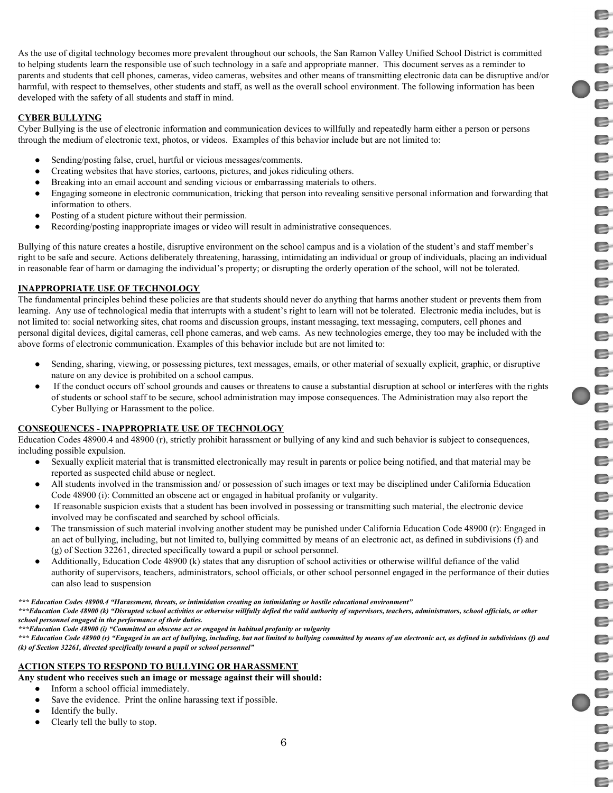E E E e E e E e E E E E E E e E E E e e E E E e e e e e E e E E e E  $\blacksquare$ E E  $\blacksquare$ E e E E E

E

As the use of digital technology becomes more prevalent throughout our schools, the San Ramon Valley Unified School District is committed to helping students learn the responsible use of such technology in a safe and appropriate manner. This document serves as a reminder to parents and students that cell phones, cameras, video cameras, websites and other means of transmitting electronic data can be disruptive and/or harmful, with respect to themselves, other students and staff, as well as the overall school environment. The following information has been developed with the safety of all students and staff in mind.

### **CYBER BULLYING**

Cyber Bullying is the use of electronic information and communication devices to willfully and repeatedly harm either a person or persons through the medium of electronic text, photos, or videos. Examples of this behavior include but are not limited to:

- Sending/posting false, cruel, hurtful or vicious messages/comments.
- Creating websites that have stories, cartoons, pictures, and jokes ridiculing others.
- Breaking into an email account and sending vicious or embarrassing materials to others.
- Engaging someone in electronic communication, tricking that person into revealing sensitive personal information and forwarding that information to others.
- Posting of a student picture without their permission.
- Recording/posting inappropriate images or video will result in administrative consequences.

Bullying of this nature creates a hostile, disruptive environment on the school campus and is a violation of the student's and staff member's right to be safe and secure. Actions deliberately threatening, harassing, intimidating an individual or group of individuals, placing an individual in reasonable fear of harm or damaging the individual's property; or disrupting the orderly operation of the school, will not be tolerated.

## **INAPPROPRIATE USE OF TECHNOLOGY**

The fundamental principles behind these policies are that students should never do anything that harms another student or prevents them from learning. Any use of technological media that interrupts with a student's right to learn will not be tolerated. Electronic media includes, but is not limited to: social networking sites, chat rooms and discussion groups, instant messaging, text messaging, computers, cell phones and personal digital devices, digital cameras, cell phone cameras, and web cams. As new technologies emerge, they too may be included with the above forms of electronic communication. Examples of this behavior include but are not limited to:

- Sending, sharing, viewing, or possessing pictures, text messages, emails, or other material of sexually explicit, graphic, or disruptive nature on any device is prohibited on a school campus.
- If the conduct occurs off school grounds and causes or threatens to cause a substantial disruption at school or interferes with the rights of students or school staff to be secure, school administration may impose consequences. The Administration may also report the Cyber Bullying or Harassment to the police.

### **CONSEQUENCES - INAPPROPRIATE USE OF TECHNOLOGY**

Education Codes 48900.4 and 48900 (r), strictly prohibit harassment or bullying of any kind and such behavior is subject to consequences, including possible expulsion.

- Sexually explicit material that is transmitted electronically may result in parents or police being notified, and that material may be reported as suspected child abuse or neglect.
- All students involved in the transmission and/ or possession of such images or text may be disciplined under California Education Code 48900 (i): Committed an obscene act or engaged in habitual profanity or vulgarity.
- If reasonable suspicion exists that a student has been involved in possessing or transmitting such material, the electronic device involved may be confiscated and searched by school officials.
- The transmission of such material involving another student may be punished under California Education Code 48900 (r): Engaged in an act of bullying, including, but not limited to, bullying committed by means of an electronic act, as defined in subdivisions (f) and (g) of Section 32261, directed specifically toward a pupil or school personnel.
- Additionally, Education Code 48900 (k) states that any disruption of school activities or otherwise willful defiance of the valid authority of supervisors, teachers, administrators, school officials, or other school personnel engaged in the performance of their duties can also lead to suspension

### \*\*\* Education Codes 48900.4 "Harassment, threats, or intimidation creating an intimidating or hostile educational environment"

\*\*\*Education Code 48900 (k) "Disrupted school activities or otherwise willfully defied the valid authority of supervisors, teachers, administrators, school officials, or other *school personnel engaged in the performance of their duties.*

*\*\*\*Education Code 48900 (i) "Committed an obscene act or engaged in habitual profanity or vulgarity*

\*\*\* Education Code 48900 (r) "Engaged in an act of bullying, including, but not limited to bullying committed by means of an electronic act, as defined in subdivisions (f) and *(k) of Section 32261, directed specifically toward a pupil or school personnel"*

### **ACTION STEPS TO RESPOND TO BULLYING OR HARASSMENT**

**Any student who receives such an image or message against their will should:**

- Inform a school official immediately.
	- Save the evidence. Print the online harassing text if possible.
	- Identify the bully.
	- Clearly tell the bully to stop.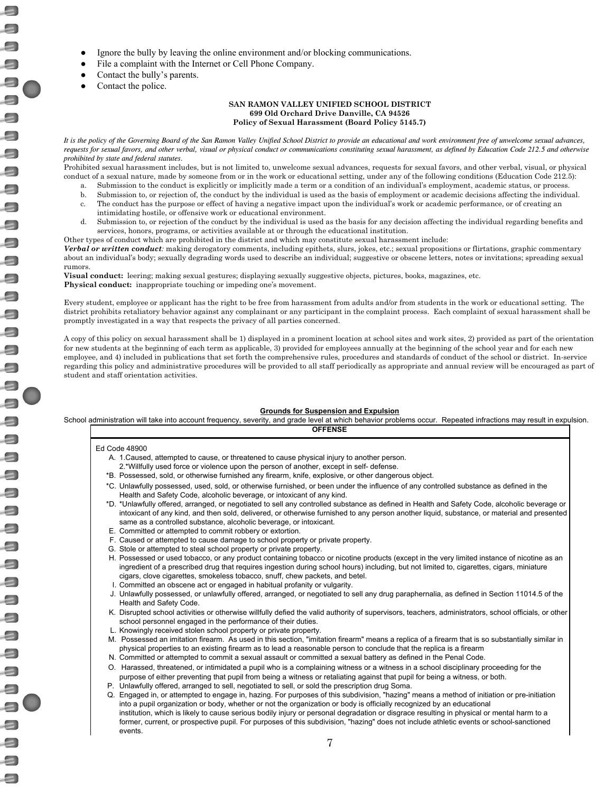- Ignore the bully by leaving the online environment and/or blocking communications.
- File a complaint with the Internet or Cell Phone Company.
- Contact the bully's parents.
- Contact the police.

 $\Box$ 

 $\Rightarrow$ 

 $\Box$ 

a

#### **SAN RAMON VALLEY UNIFIED SCHOOL DISTRICT 699 Old Orchard Drive Danville, CA 94526 Policy of Sexual Harassment (Board Policy 5145.7)**

It is the policy of the Governing Board of the San Ramon Valley Unified School District to provide an educational and work environment free of unwelcome sexual advances, requests for sexual favors, and other verbal, visual or physical conduct or communications constituting sexual harassment, as defined by Education Code 212.5 and otherwise *prohibited by state and federal statutes.*

Prohibited sexual harassment includes, but is not limited to, unwelcome sexual advances, requests for sexual favors, and other verbal, visual, or physical conduct of a sexual nature, made by someone from or in the work or educational setting, under any of the following conditions (Education Code 212.5):

- a. Submission to the conduct is explicitly or implicitly made a term or a condition of an individual's employment, academic status, or process.
- b. Submission to, or rejection of, the conduct by the individual is used as the basis of employment or academic decisions affecting the individual.
- c. The conduct has the purpose or effect of having a negative impact upon the individual's work or academic performance, or of creating an intimidating hostile, or offensive work or educational environment.
- d. Submission to, or rejection of the conduct by the individual is used as the basis for any decision affecting the individual regarding benefits and services, honors, programs, or activities available at or through the educational institution.
- Other types of conduct which are prohibited in the district and which may constitute sexual harassment include:

*Verbal or written conduct:* making derogatory comments, including epithets, slurs, jokes, etc.; sexual propositions or flirtations, graphic commentary about an individual's body; sexually degrading words used to describe an individual; suggestive or obscene letters, notes or invitations; spreading sexual rumors.

**Visual conduct:** leering; making sexual gestures; displaying sexually suggestive objects, pictures, books, magazines, etc. **Physical conduct:** inappropriate touching or impeding one's movement.

Every student, employee or applicant has the right to be free from harassment from adults and/or from students in the work or educational setting. The district prohibits retaliatory behavior against any complainant or any participant in the complaint process. Each complaint of sexual harassment shall be promptly investigated in a way that respects the privacy of all parties concerned.

A copy of this policy on sexual harassment shall be 1) displayed in a prominent location at school sites and work sites, 2) provided as part of the orientation for new students at the beginning of each term as applicable, 3) provided for employees annually at the beginning of the school year and for each new employee, and 4) included in publications that set forth the comprehensive rules, procedures and standards of conduct of the school or district. In-service regarding this policy and administrative procedures will be provided to all staff periodically as appropriate and annual review will be encouraged as part of student and staff orientation activities.

### **Grounds for Suspension and Expulsion**

School administration will take into account frequency, severity, and grade level at which behavior problems occur. Repeated infractions may result in expulsion. **OFFENSE**

#### Ed Code 48900

- A. 1.Caused, attempted to cause, or threatened to cause physical injury to another person. 2.\*Willfully used force or violence upon the person of another, except in self- defense.
- \*B. Possessed, sold, or otherwise furnished any firearm, knife, explosive, or other dangerous object.
- \*C. Unlawfully possessed, used, sold, or otherwise furnished, or been under the influence of any controlled substance as defined in the Health and Safety Code, alcoholic beverage, or intoxicant of any kind.
- \*D. \*Unlawfully offered, arranged, or negotiated to sell any controlled substance as defined in Health and Safety Code, alcoholic beverage or intoxicant of any kind, and then sold, delivered, or otherwise furnished to any person another liquid, substance, or material and presented same as a controlled substance, alcoholic beverage, or intoxicant.
- E. Committed or attempted to commit robbery or extortion.
- F. Caused or attempted to cause damage to school property or private property.
- G. Stole or attempted to steal school property or private property.
- H. Possessed or used tobacco, or any product containing tobacco or nicotine products (except in the very limited instance of nicotine as an ingredient of a prescribed drug that requires ingestion during school hours) including, but not limited to, cigarettes, cigars, miniature cigars, clove cigarettes, smokeless tobacco, snuff, chew packets, and betel.
- I. Committed an obscene act or engaged in habitual profanity or vulgarity.
- J. Unlawfully possessed, or unlawfully offered, arranged, or negotiated to sell any drug paraphernalia, as defined in Section 11014.5 of the Health and Safety Code.
- K. Disrupted school activities or otherwise willfully defied the valid authority of supervisors, teachers, administrators, school officials, or other school personnel engaged in the performance of their duties.
- L. Knowingly received stolen school property or private property.
- M. Possessed an imitation firearm. As used in this section, "imitation firearm" means a replica of a firearm that is so substantially similar in physical properties to an existing firearm as to lead a reasonable person to conclude that the replica is a firearm
- N. Committed or attempted to commit a sexual assault or committed a sexual battery as defined in the Penal Code.
- O. Harassed, threatened, or intimidated a pupil who is a complaining witness or a witness in a school disciplinary proceeding for the purpose of either preventing that pupil from being a witness or retaliating against that pupil for being a witness, or both.
- P. Unlawfully offered, arranged to sell, negotiated to sell, or sold the prescription drug Soma.
- Q. Engaged in, or attempted to engage in, hazing. For purposes of this subdivision, "hazing" means a method of initiation or pre-initiation into a pupil organization or body, whether or not the organization or body is officially recognized by an educational institution, which is likely to cause serious bodily injury or personal degradation or disgrace resulting in physical or mental harm to a former, current, or prospective pupil. For purposes of this subdivision, "hazing" does not include athletic events or school-sanctioned events.